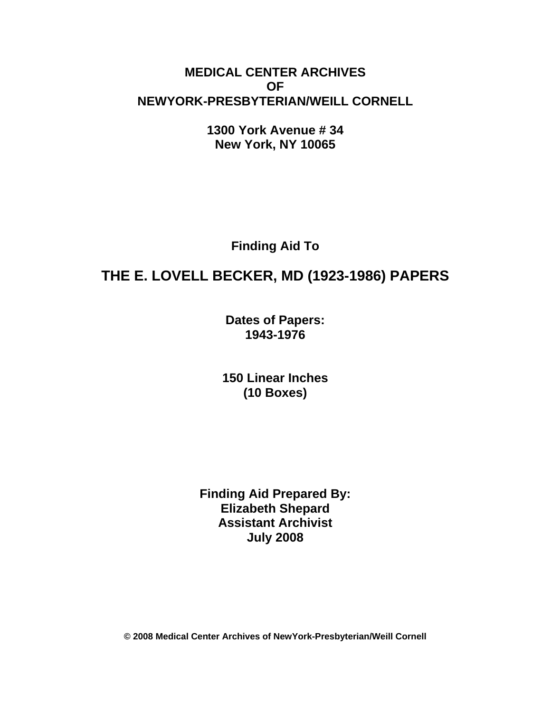## **MEDICAL CENTER ARCHIVES OF NEWYORK-PRESBYTERIAN/WEILL CORNELL**

**1300 York Avenue # 34 New York, NY 10065** 

**Finding Aid To** 

# **THE E. LOVELL BECKER, MD (1923-1986) PAPERS**

**Dates of Papers: 1943-1976**

**150 Linear Inches (10 Boxes)** 

**Finding Aid Prepared By: Elizabeth Shepard Assistant Archivist July 2008** 

**© 2008 Medical Center Archives of NewYork-Presbyterian/Weill Cornell**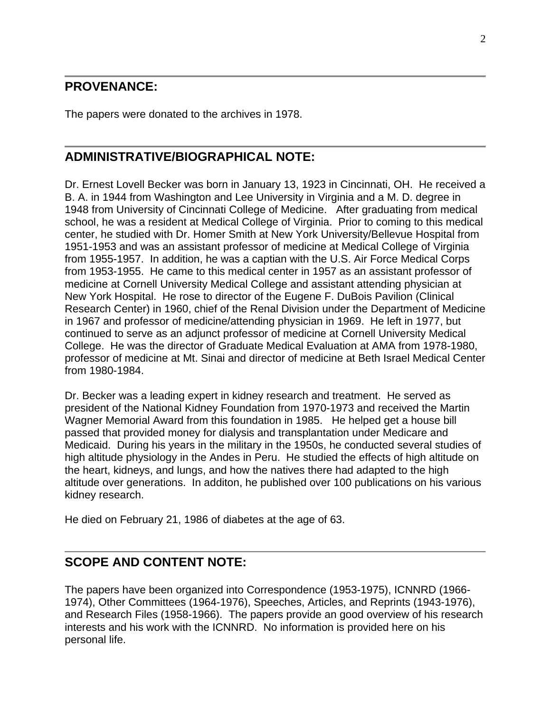## **PROVENANCE:**

The papers were donated to the archives in 1978.

## **ADMINISTRATIVE/BIOGRAPHICAL NOTE:**

Dr. Ernest Lovell Becker was born in January 13, 1923 in Cincinnati, OH. He received a B. A. in 1944 from Washington and Lee University in Virginia and a M. D. degree in 1948 from University of Cincinnati College of Medicine. After graduating from medical school, he was a resident at Medical College of Virginia. Prior to coming to this medical center, he studied with Dr. Homer Smith at New York University/Bellevue Hospital from 1951-1953 and was an assistant professor of medicine at Medical College of Virginia from 1955-1957. In addition, he was a captian with the U.S. Air Force Medical Corps from 1953-1955. He came to this medical center in 1957 as an assistant professor of medicine at Cornell University Medical College and assistant attending physician at New York Hospital. He rose to director of the Eugene F. DuBois Pavilion (Clinical Research Center) in 1960, chief of the Renal Division under the Department of Medicine in 1967 and professor of medicine/attending physician in 1969. He left in 1977, but continued to serve as an adjunct professor of medicine at Cornell University Medical College. He was the director of Graduate Medical Evaluation at AMA from 1978-1980, professor of medicine at Mt. Sinai and director of medicine at Beth Israel Medical Center from 1980-1984.

Dr. Becker was a leading expert in kidney research and treatment. He served as president of the National Kidney Foundation from 1970-1973 and received the Martin Wagner Memorial Award from this foundation in 1985. He helped get a house bill passed that provided money for dialysis and transplantation under Medicare and Medicaid. During his years in the military in the 1950s, he conducted several studies of high altitude physiology in the Andes in Peru. He studied the effects of high altitude on the heart, kidneys, and lungs, and how the natives there had adapted to the high altitude over generations. In additon, he published over 100 publications on his various kidney research.

He died on February 21, 1986 of diabetes at the age of 63.

## **SCOPE AND CONTENT NOTE:**

The papers have been organized into Correspondence (1953-1975), ICNNRD (1966- 1974), Other Committees (1964-1976), Speeches, Articles, and Reprints (1943-1976), and Research Files (1958-1966). The papers provide an good overview of his research interests and his work with the ICNNRD. No information is provided here on his personal life.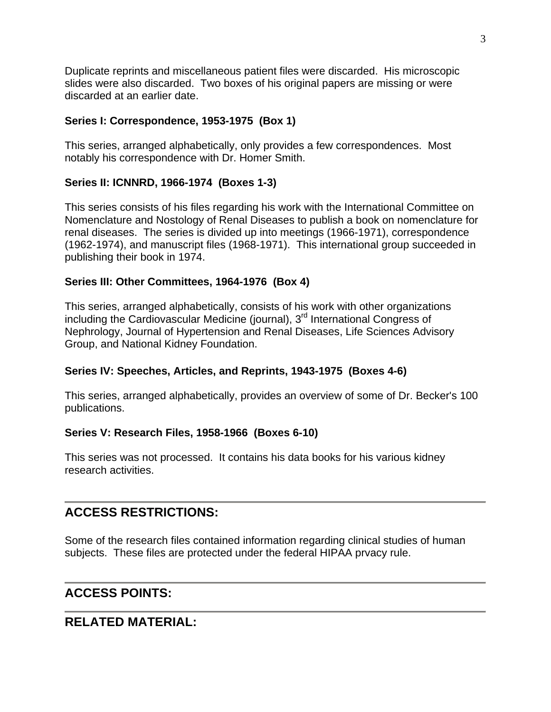Duplicate reprints and miscellaneous patient files were discarded. His microscopic slides were also discarded. Two boxes of his original papers are missing or were discarded at an earlier date.

### **Series I: Correspondence, 1953-1975 (Box 1)**

This series, arranged alphabetically, only provides a few correspondences. Most notably his correspondence with Dr. Homer Smith.

### **Series II: ICNNRD, 1966-1974 (Boxes 1-3)**

This series consists of his files regarding his work with the International Committee on Nomenclature and Nostology of Renal Diseases to publish a book on nomenclature for renal diseases. The series is divided up into meetings (1966-1971), correspondence (1962-1974), and manuscript files (1968-1971). This international group succeeded in publishing their book in 1974.

### **Series III: Other Committees, 1964-1976 (Box 4)**

This series, arranged alphabetically, consists of his work with other organizations including the Cardiovascular Medicine (journal),  $3<sup>rd</sup>$  International Congress of Nephrology, Journal of Hypertension and Renal Diseases, Life Sciences Advisory Group, and National Kidney Foundation.

### **Series IV: Speeches, Articles, and Reprints, 1943-1975 (Boxes 4-6)**

This series, arranged alphabetically, provides an overview of some of Dr. Becker's 100 publications.

### **Series V: Research Files, 1958-1966 (Boxes 6-10)**

This series was not processed. It contains his data books for his various kidney research activities.

## **ACCESS RESTRICTIONS:**

Some of the research files contained information regarding clinical studies of human subjects. These files are protected under the federal HIPAA prvacy rule.

## **ACCESS POINTS:**

## **RELATED MATERIAL:**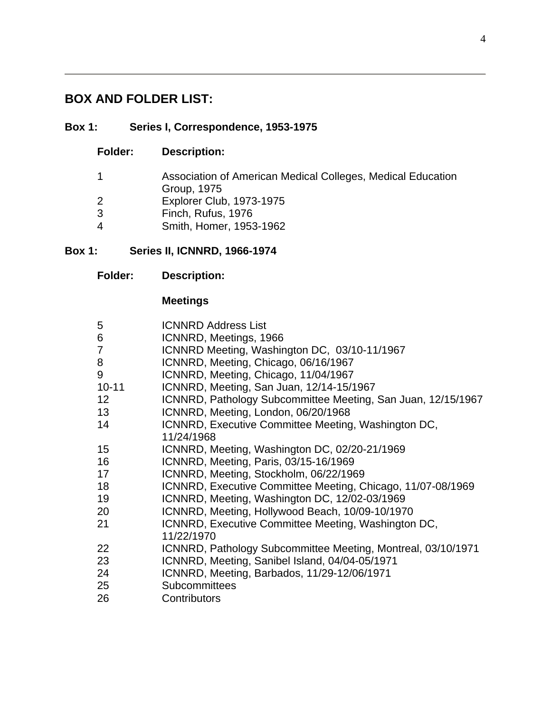# **BOX AND FOLDER LIST:**

## **Box 1: Series I, Correspondence, 1953-1975**

**Folder: Description:** 

|   | Association of American Medical Colleges, Medical Education |
|---|-------------------------------------------------------------|
|   | Group, 1975                                                 |
| 2 | <b>Explorer Club, 1973-1975</b>                             |
| 3 | Finch, Rufus, 1976                                          |
| 4 | Smith, Homer, 1953-1962                                     |

## **Box 1: Series II, ICNNRD, 1966-1974**

## **Meetings**

| 5               | <b>ICNNRD Address List</b>                                   |
|-----------------|--------------------------------------------------------------|
| 6               | ICNNRD, Meetings, 1966                                       |
| 7               | ICNNRD Meeting, Washington DC, 03/10-11/1967                 |
| 8               | ICNNRD, Meeting, Chicago, 06/16/1967                         |
| 9               | ICNNRD, Meeting, Chicago, 11/04/1967                         |
| $10 - 11$       | ICNNRD, Meeting, San Juan, 12/14-15/1967                     |
| 12 <sub>2</sub> | ICNNRD, Pathology Subcommittee Meeting, San Juan, 12/15/1967 |
| 13 <sup>2</sup> | ICNNRD, Meeting, London, 06/20/1968                          |
| 14              | ICNNRD, Executive Committee Meeting, Washington DC,          |
|                 | 11/24/1968                                                   |
| 15              | ICNNRD, Meeting, Washington DC, 02/20-21/1969                |
| 16              | ICNNRD, Meeting, Paris, 03/15-16/1969                        |
| 17              | ICNNRD, Meeting, Stockholm, 06/22/1969                       |
| 18              | ICNNRD, Executive Committee Meeting, Chicago, 11/07-08/1969  |
| 19              | ICNNRD, Meeting, Washington DC, 12/02-03/1969                |
| 20              | ICNNRD, Meeting, Hollywood Beach, 10/09-10/1970              |
| 21              | ICNNRD, Executive Committee Meeting, Washington DC,          |
|                 | 11/22/1970                                                   |
| 22              | ICNNRD, Pathology Subcommittee Meeting, Montreal, 03/10/1971 |
| 23              | ICNNRD, Meeting, Sanibel Island, 04/04-05/1971               |
| 24              | ICNNRD, Meeting, Barbados, 11/29-12/06/1971                  |
| 25              | <b>Subcommittees</b>                                         |
| 26              | Contributors                                                 |
|                 |                                                              |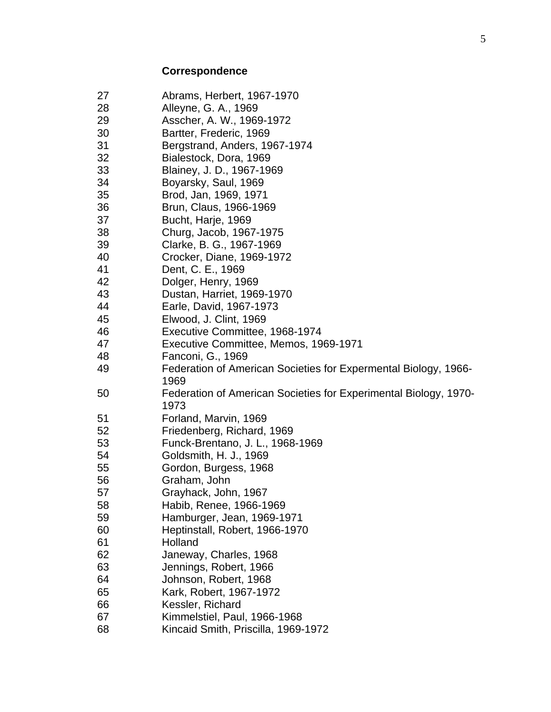# **Correspondence**

| 27 | Abrams, Herbert, 1967-1970                                       |
|----|------------------------------------------------------------------|
| 28 | Alleyne, G. A., 1969                                             |
| 29 | Asscher, A. W., 1969-1972                                        |
| 30 | Bartter, Frederic, 1969                                          |
| 31 | Bergstrand, Anders, 1967-1974                                    |
| 32 | Bialestock, Dora, 1969                                           |
| 33 | Blainey, J. D., 1967-1969                                        |
| 34 | Boyarsky, Saul, 1969                                             |
| 35 | Brod, Jan, 1969, 1971                                            |
| 36 | Brun, Claus, 1966-1969                                           |
| 37 | Bucht, Harje, 1969                                               |
| 38 | Churg, Jacob, 1967-1975                                          |
| 39 | Clarke, B. G., 1967-1969                                         |
| 40 | Crocker, Diane, 1969-1972                                        |
| 41 | Dent, C. E., 1969                                                |
| 42 | Dolger, Henry, 1969                                              |
| 43 | Dustan, Harriet, 1969-1970                                       |
| 44 | Earle, David, 1967-1973                                          |
| 45 | Elwood, J. Clint, 1969                                           |
| 46 | Executive Committee, 1968-1974                                   |
| 47 | Executive Committee, Memos, 1969-1971                            |
| 48 | Fanconi, G., 1969                                                |
| 49 | Federation of American Societies for Expermental Biology, 1966-  |
|    | 1969                                                             |
| 50 | Federation of American Societies for Experimental Biology, 1970- |
|    | 1973                                                             |
| 51 | Forland, Marvin, 1969                                            |
| 52 | Friedenberg, Richard, 1969                                       |
| 53 | Funck-Brentano, J. L., 1968-1969                                 |
| 54 | Goldsmith, H. J., 1969                                           |
| 55 | Gordon, Burgess, 1968                                            |
| 56 | Graham, John                                                     |
| 57 | Grayhack, John, 1967                                             |
| 58 | Habib, Renee, 1966-1969                                          |
| 59 | Hamburger, Jean, 1969-1971                                       |
| 60 | Heptinstall, Robert, 1966-1970                                   |
| 61 | Holland                                                          |
| 62 | Janeway, Charles, 1968                                           |
| 63 | Jennings, Robert, 1966                                           |
| 64 | Johnson, Robert, 1968                                            |
| 65 | Kark, Robert, 1967-1972                                          |
| 66 | Kessler, Richard                                                 |
| 67 | Kimmelstiel, Paul, 1966-1968                                     |
| 68 | Kincaid Smith, Priscilla, 1969-1972                              |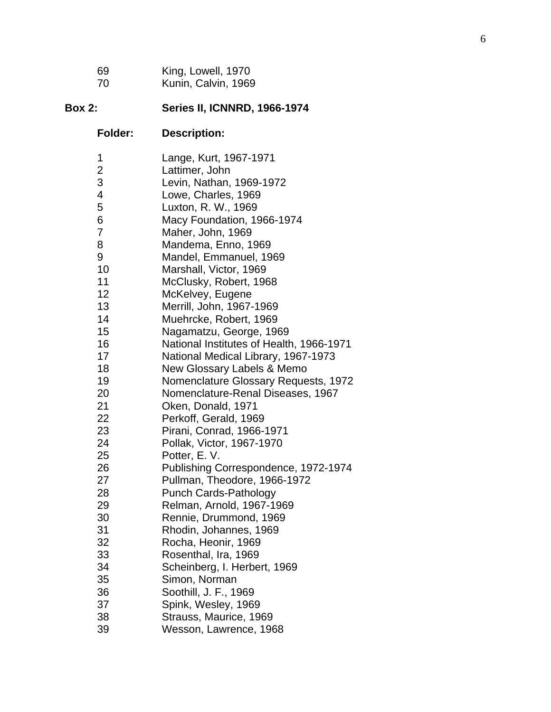| -69 | King, Lowell, 1970  |
|-----|---------------------|
| -70 | Kunin, Calvin, 1969 |

# **Box 2: Series II, ICNNRD, 1966-1974**

# **Folder: Description:**

| 1  | Lange, Kurt, 1967-1971                   |
|----|------------------------------------------|
| 2  | Lattimer, John                           |
| 3  | Levin, Nathan, 1969-1972                 |
| 4  | Lowe, Charles, 1969                      |
| 5  | Luxton, R. W., 1969                      |
| 6  | Macy Foundation, 1966-1974               |
| 7  | Maher, John, 1969                        |
| 8  | Mandema, Enno, 1969                      |
| 9  | Mandel, Emmanuel, 1969                   |
| 10 | Marshall, Victor, 1969                   |
| 11 | McClusky, Robert, 1968                   |
| 12 | McKelvey, Eugene                         |
| 13 | Merrill, John, 1967-1969                 |
| 14 | Muehrcke, Robert, 1969                   |
| 15 | Nagamatzu, George, 1969                  |
| 16 | National Institutes of Health, 1966-1971 |
| 17 | National Medical Library, 1967-1973      |
| 18 | New Glossary Labels & Memo               |
| 19 | Nomenclature Glossary Requests, 1972     |
| 20 | Nomenclature-Renal Diseases, 1967        |
| 21 | Oken, Donald, 1971                       |
| 22 | Perkoff, Gerald, 1969                    |
| 23 | Pirani, Conrad, 1966-1971                |
| 24 | Pollak, Victor, 1967-1970                |
| 25 | Potter, E.V.                             |
| 26 | Publishing Correspondence, 1972-1974     |
| 27 | Pullman, Theodore, 1966-1972             |
| 28 | <b>Punch Cards-Pathology</b>             |
| 29 | Relman, Arnold, 1967-1969                |
| 30 | Rennie, Drummond, 1969                   |
| 31 | Rhodin, Johannes, 1969                   |
| 32 | Rocha, Heonir, 1969                      |
| 33 | Rosenthal, Ira, 1969                     |
| 34 | Scheinberg, I. Herbert, 1969             |
| 35 | Simon, Norman                            |
| 36 | Soothill, J. F., 1969                    |
| 37 | Spink, Wesley, 1969                      |
| 38 | Strauss, Maurice, 1969                   |
| 39 | Wesson, Lawrence, 1968                   |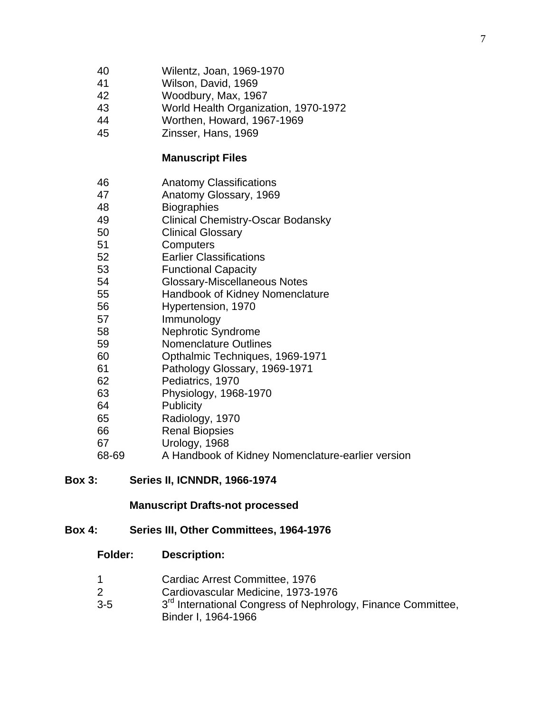- 40 Wilentz, Joan, 1969-1970
- 41 Wilson, David, 1969
- 42 Woodbury, Max, 1967
- 43 World Health Organization, 1970-1972
- 44 Worthen, Howard, 1967-1969
- 45 Zinsser, Hans, 1969

### **Manuscript Files**

- 46 Anatomy Classifications
- 47 Anatomy Glossary, 1969
- 48 Biographies
- 49 Clinical Chemistry-Oscar Bodansky
- 50 Clinical Glossary
- 51 Computers
- 52 Earlier Classifications
- 53 Functional Capacity
- 54 Glossary-Miscellaneous Notes
- 55 Handbook of Kidney Nomenclature
- 56 Hypertension, 1970
- 57 Immunology
- 58 Nephrotic Syndrome
- 59 Nomenclature Outlines
- 60 Opthalmic Techniques, 1969-1971
- 61 Pathology Glossary, 1969-1971
- 62 Pediatrics, 1970
- 63 Physiology, 1968-1970
- 64 Publicity
- 65 Radiology, 1970
- 66 Renal Biopsies
- 67 Urology, 1968
- 68-69 A Handbook of Kidney Nomenclature-earlier version

### **Box 3: Series II, ICNNDR, 1966-1974**

### **Manuscript Drafts-not processed**

### **Box 4: Series III, Other Committees, 1964-1976**

### **Folder: Description:**

- 1 Cardiac Arrest Committee, 1976
- 2 Cardiovascular Medicine, 1973-1976
- 3-5 3<sup>rd</sup> International Congress of Nephrology, Finance Committee, Binder I, 1964-1966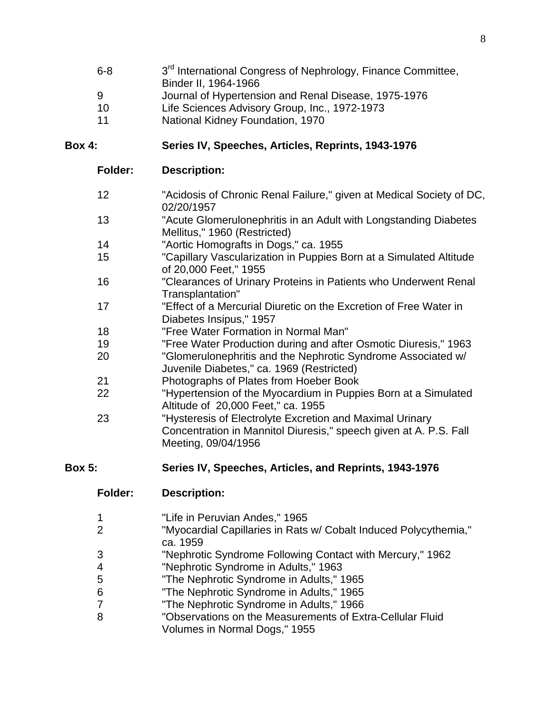| $6 - 8$        | 3 <sup>rd</sup> International Congress of Nephrology, Finance Committee, |
|----------------|--------------------------------------------------------------------------|
|                | Binder II, 1964-1966                                                     |
| 9              | Journal of Hypertension and Renal Disease, 1975-1976                     |
| 10             | Life Sciences Advisory Group, Inc., 1972-1973                            |
| $\overline{A}$ | Notional Kidney Foundation 1070                                          |

11 National Kidney Foundation, 1970

### **Box 4: Series IV, Speeches, Articles, Reprints, 1943-1976**

### **Folder: Description:**

- 12 "Acidosis of Chronic Renal Failure," given at Medical Society of DC, 02/20/1957
- 13 "Acute Glomerulonephritis in an Adult with Longstanding Diabetes Mellitus," 1960 (Restricted)
- 14 "Aortic Homografts in Dogs," ca. 1955
- 15 "Capillary Vascularization in Puppies Born at a Simulated Altitude of 20,000 Feet," 1955
- 16 "Clearances of Urinary Proteins in Patients who Underwent Renal Transplantation"
- 17 "Effect of a Mercurial Diuretic on the Excretion of Free Water in Diabetes Insipus," 1957
- 18 "Free Water Formation in Normal Man"
- 19 "Free Water Production during and after Osmotic Diuresis," 1963
- 20 "Glomerulonephritis and the Nephrotic Syndrome Associated w/ Juvenile Diabetes," ca. 1969 (Restricted)
- 21 Photographs of Plates from Hoeber Book
- 22 "Hypertension of the Myocardium in Puppies Born at a Simulated Altitude of 20,000 Feet," ca. 1955
- 23 "Hysteresis of Electrolyte Excretion and Maximal Urinary Concentration in Mannitol Diuresis," speech given at A. P.S. Fall Meeting, 09/04/1956

### **Box 5: Series IV, Speeches, Articles, and Reprints, 1943-1976**

### **Folder: Description:**

- 1 "Life in Peruvian Andes," 1965
- 2 "Myocardial Capillaries in Rats w/ Cobalt Induced Polycythemia," ca. 1959
- 3 "Nephrotic Syndrome Following Contact with Mercury," 1962
- 4 "Nephrotic Syndrome in Adults," 1963
- 5 "The Nephrotic Syndrome in Adults," 1965
- 6 "The Nephrotic Syndrome in Adults," 1965
- 7 "The Nephrotic Syndrome in Adults," 1966
- 8 "Observations on the Measurements of Extra-Cellular Fluid Volumes in Normal Dogs," 1955